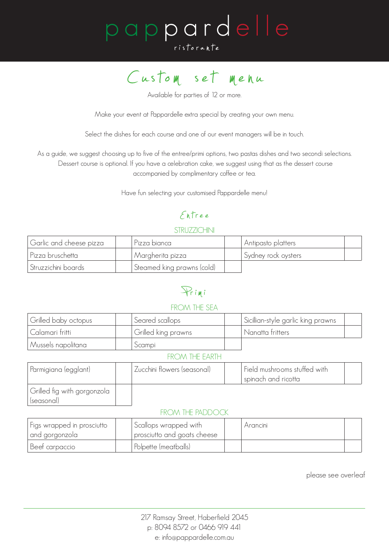# pappardelle ristorante



Available for parties of 12 or more.

Make your event at Pappardelle extra special by creating your own menu.

Select the dishes for each course and one of our event managers will be in touch.

As a guide, we suggest choosing up to five of the entree/primi options, two pastas dishes and two secondi selections. Dessert course is optional. If you have a celebration cake, we suggest using that as the dessert course accompanied by complimentary coffee or tea.

Have fun selecting your customised Pappardelle menu!

## Entree

#### **STRUZZICHINI**

| Garlic and cheese pizza | Pizza bianca               | Antipasto platters  |  |
|-------------------------|----------------------------|---------------------|--|
| Pizza bruschetta        | Margherita pizza           | Sydney rock oysters |  |
| Struzzichini boards     | Steamed king prawns (cold) |                     |  |

## Primi

#### FROM THE SEA

| Grilled baby octopus | Seared scallops     | Sicillian-style garlic king prawns |
|----------------------|---------------------|------------------------------------|
| Calamari fritti      | Grilled king prawns | Nanatta fritters                   |
| Mussels napolitana   | Scampi              |                                    |

#### FROM THE EARTH

| Parmigiana (egglant)        | , Zucchini flowers (seasonal) | Field mushrooms stuffed with |  |
|-----------------------------|-------------------------------|------------------------------|--|
|                             |                               | spinach and ricotta          |  |
| Grilled fig with gorgonzola |                               |                              |  |

#### FROM THE PADDOCK

(seasonal)

| Figs wrapped in prosciutto | Scallops wrapped with       | Arancini |  |
|----------------------------|-----------------------------|----------|--|
| and gorgonzola             | prosciutto and goats cheese |          |  |
| Beef carpaccio             | Polpette (meatballs)        |          |  |

please see overleaf